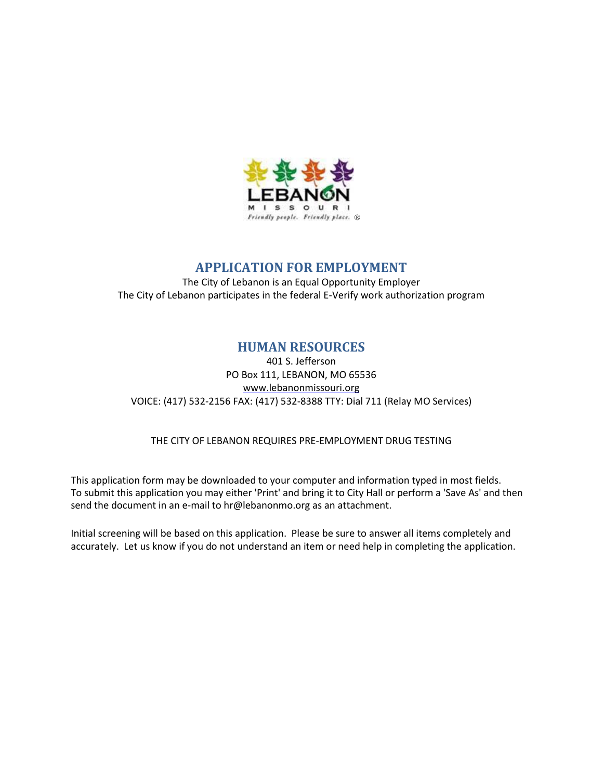

### **APPLICATION FOR EMPLOYMENT**

The City of Lebanon is an Equal Opportunity Employer The City of Lebanon participates in the federal E-Verify work authorization program

### **HUMAN RESOURCES**

401 S. Jefferson PO Box 111, LEBANON, MO 65536 [www.lebanonmissouri.org](http://www.lebanonmissouri.org/) VOICE: (417) 532-2156 FAX: (417) 532-8388 TTY: Dial 711 (Relay MO Services)

THE CITY OF LEBANON REQUIRES PRE-EMPLOYMENT DRUG TESTING

This application form may be downloaded to your computer and information typed in most fields. To submit this application you may either 'Print' and bring it to City Hall or perform a 'Save As' and then send the document in an e-mail to hr@lebanonmo.org as an attachment.

Initial screening will be based on this application. Please be sure to answer all items completely and accurately. Let us know if you do not understand an item or need help in completing the application.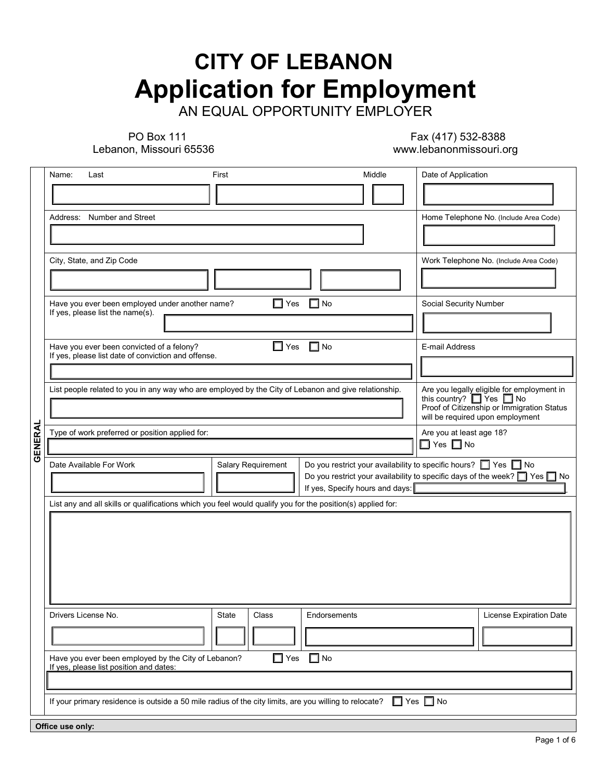# **CITY OF LEBANON Application for Employment**

AN EQUAL OPPORTUNITY EMPLOYER

PO Box 111

Lebanon, Missouri 65536

 Fax (417) 532-8388 www.lebanonmissouri.org

|         | Name:<br>Last                                                                                                                                  | First                                                                                                                | Middle       | Date of Application                                                       |  |  |  |  |
|---------|------------------------------------------------------------------------------------------------------------------------------------------------|----------------------------------------------------------------------------------------------------------------------|--------------|---------------------------------------------------------------------------|--|--|--|--|
|         |                                                                                                                                                |                                                                                                                      |              |                                                                           |  |  |  |  |
|         | Number and Street<br>Address:                                                                                                                  |                                                                                                                      |              | Home Telephone No. (Include Area Code)                                    |  |  |  |  |
|         |                                                                                                                                                |                                                                                                                      |              |                                                                           |  |  |  |  |
|         | City, State, and Zip Code                                                                                                                      |                                                                                                                      |              | Work Telephone No. (Include Area Code)                                    |  |  |  |  |
|         |                                                                                                                                                |                                                                                                                      |              |                                                                           |  |  |  |  |
|         | Have you ever been employed under another name?                                                                                                | $\Box$ Yes                                                                                                           | $\Box$ l No  | Social Security Number                                                    |  |  |  |  |
|         | If yes, please list the name(s).                                                                                                               |                                                                                                                      |              |                                                                           |  |  |  |  |
|         | Have you ever been convicted of a felony?<br>If yes, please list date of conviction and offense.                                               | $\Box$ Yes                                                                                                           | $\Box$ No    | E-mail Address                                                            |  |  |  |  |
|         |                                                                                                                                                |                                                                                                                      |              |                                                                           |  |  |  |  |
|         | List people related to you in any way who are employed by the City of Lebanon and give relationship.                                           | Are you legally eligible for employment in                                                                           |              |                                                                           |  |  |  |  |
|         |                                                                                                                                                | this country? $\Box$ Yes $\Box$ No<br>Proof of Citizenship or Immigration Status<br>will be required upon employment |              |                                                                           |  |  |  |  |
|         | Type of work preferred or position applied for:                                                                                                | Are you at least age 18?                                                                                             |              |                                                                           |  |  |  |  |
| GENERAL |                                                                                                                                                | $\Box$ Yes $\Box$ No                                                                                                 |              |                                                                           |  |  |  |  |
|         | Date Available For Work                                                                                                                        | Salary Requirement                                                                                                   |              | Do you restrict your availability to specific hours? $\Box$ Yes $\Box$ No |  |  |  |  |
|         |                                                                                                                                                | Do you restrict your availability to specific days of the week? $\Box$ Yes $\Box$ No                                 |              |                                                                           |  |  |  |  |
|         | If yes, Specify hours and days:<br>List any and all skills or qualifications which you feel would qualify you for the position(s) applied for: |                                                                                                                      |              |                                                                           |  |  |  |  |
|         |                                                                                                                                                |                                                                                                                      |              |                                                                           |  |  |  |  |
|         |                                                                                                                                                |                                                                                                                      |              |                                                                           |  |  |  |  |
|         |                                                                                                                                                |                                                                                                                      |              |                                                                           |  |  |  |  |
|         |                                                                                                                                                |                                                                                                                      |              |                                                                           |  |  |  |  |
|         |                                                                                                                                                |                                                                                                                      |              |                                                                           |  |  |  |  |
|         | Drivers License No.                                                                                                                            | State<br>Class                                                                                                       | Endorsements | License Expiration Date                                                   |  |  |  |  |
|         |                                                                                                                                                |                                                                                                                      |              |                                                                           |  |  |  |  |
|         |                                                                                                                                                |                                                                                                                      |              |                                                                           |  |  |  |  |
|         | Have you ever been employed by the City of Lebanon?<br>If yes, please list position and dates:                                                 | ◘<br>Yes                                                                                                             | $\Box$ No    |                                                                           |  |  |  |  |
|         |                                                                                                                                                |                                                                                                                      |              |                                                                           |  |  |  |  |
|         | If your primary residence is outside a 50 mile radius of the city limits, are you willing to relocate?                                         |                                                                                                                      |              | $\Box$ Yes $\Box$ No                                                      |  |  |  |  |
|         | Office use only:                                                                                                                               |                                                                                                                      |              |                                                                           |  |  |  |  |
|         |                                                                                                                                                |                                                                                                                      |              |                                                                           |  |  |  |  |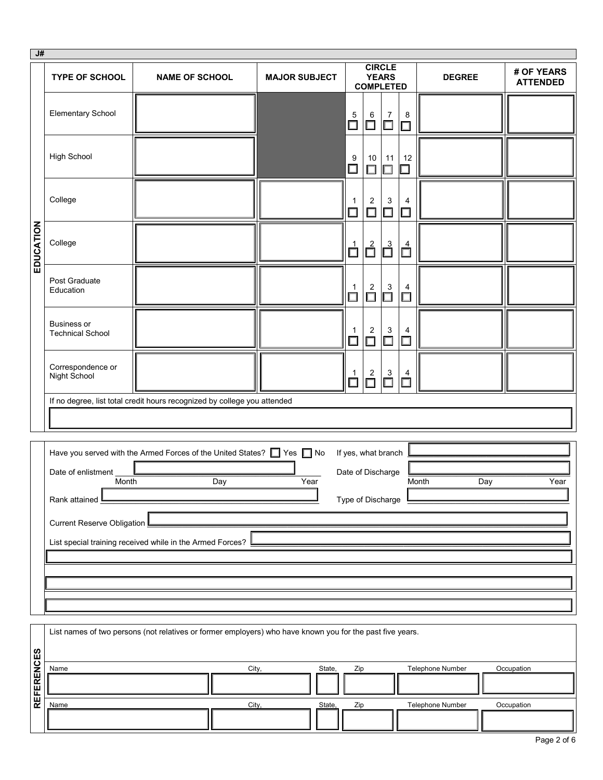| J#                |                                        |                                                                                                           |                      |                          |                                                       |                          |                  |                               |
|-------------------|----------------------------------------|-----------------------------------------------------------------------------------------------------------|----------------------|--------------------------|-------------------------------------------------------|--------------------------|------------------|-------------------------------|
|                   | <b>TYPE OF SCHOOL</b>                  | <b>NAME OF SCHOOL</b>                                                                                     | <b>MAJOR SUBJECT</b> |                          | <b>CIRCLE</b><br><b>YEARS</b><br><b>COMPLETED</b>     |                          | <b>DEGREE</b>    | # OF YEARS<br><b>ATTENDED</b> |
|                   | <b>Elementary School</b>               |                                                                                                           |                      | $\overline{5}$<br>$\Box$ | 6<br>7<br>$\Box$<br>$\Box$                            | 8<br>$\Box$              |                  |                               |
|                   | <b>High School</b>                     |                                                                                                           |                      | 9<br>$\Box$              | 11<br>10<br>$\Box$<br>П                               | 12<br>$\Box$             |                  |                               |
|                   | College                                |                                                                                                           |                      | 1<br>$\Box$              | $\overline{2}$<br>3<br>$\Box$<br>$\Box$               | $\overline{4}$<br>$\Box$ |                  |                               |
| EDUCATION         | College                                |                                                                                                           |                      | $\mathring{\Box}$        | $\overline{\overline{\Box}}^2$<br>$\overline{\Box}^3$ | $\mathbf{d}$             |                  |                               |
|                   | Post Graduate<br>Education             |                                                                                                           |                      | 1<br>$\Box$              | $\overline{\Box}^2$<br>$\overline{\Box}^3$            | 4<br>$\dot{\Box}$        |                  |                               |
|                   | Business or<br><b>Technical School</b> |                                                                                                           |                      | -1<br>$\Box$             | $\overline{c}$<br>$\mathsf 3$<br>$\Box$<br>$\Box$     | 4<br>$\Box$              |                  |                               |
|                   | Correspondence or<br>Night School      |                                                                                                           |                      | $\frac{1}{\Box}$         | $\overline{\Box}$<br>$\overline{\square}^2$           | $\prod_{i=1}^{4}$        |                  |                               |
|                   |                                        | If no degree, list total credit hours recognized by college you attended                                  |                      |                          |                                                       |                          |                  |                               |
|                   |                                        |                                                                                                           |                      |                          |                                                       |                          |                  |                               |
|                   |                                        | Have you served with the Armed Forces of the United States? TWE ST No                                     |                      |                          | If yes, what branch                                   |                          |                  |                               |
|                   | Date of enlistment<br>Month            | Day                                                                                                       | Year                 |                          | Date of Discharge                                     |                          | Month<br>Day     | Year                          |
|                   | Rank attained                          |                                                                                                           |                      |                          | Type of Discharge                                     |                          |                  |                               |
|                   | Current Reserve Obligation             |                                                                                                           |                      |                          |                                                       |                          |                  |                               |
|                   |                                        | List special training received while in the Armed Forces?                                                 |                      |                          |                                                       |                          |                  |                               |
|                   |                                        |                                                                                                           |                      |                          |                                                       |                          |                  |                               |
|                   |                                        |                                                                                                           |                      |                          |                                                       |                          |                  |                               |
|                   |                                        |                                                                                                           |                      |                          |                                                       |                          |                  |                               |
|                   |                                        |                                                                                                           |                      |                          |                                                       |                          |                  |                               |
|                   |                                        | List names of two persons (not relatives or former employers) who have known you for the past five years. |                      |                          |                                                       |                          |                  |                               |
|                   | Name                                   |                                                                                                           | City,<br>State,      | Zip                      |                                                       |                          | Telephone Number | Occupation                    |
| <b>REFERENCES</b> |                                        |                                                                                                           |                      |                          |                                                       |                          |                  |                               |
|                   | Name                                   |                                                                                                           | City,<br>State,      | Zip                      |                                                       |                          | Telephone Number | Occupation                    |

| Page 2 of 6 |  |  |  |
|-------------|--|--|--|
|-------------|--|--|--|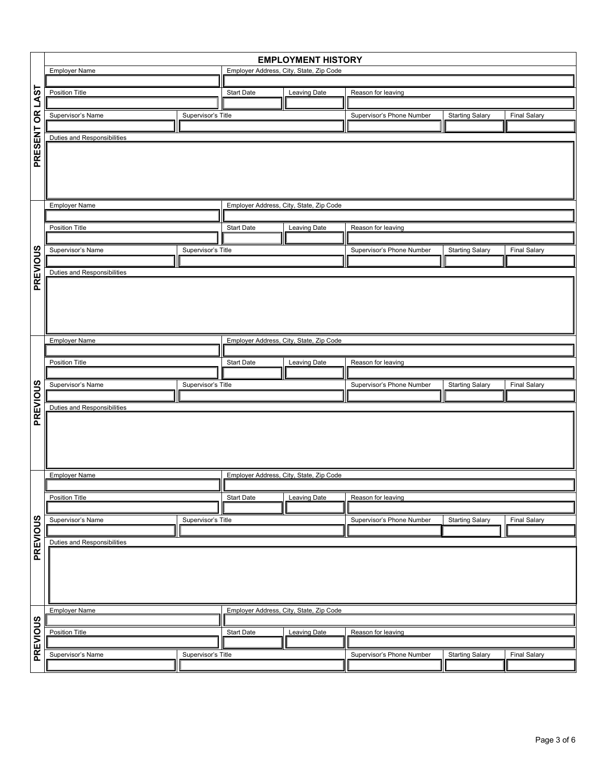|                 | <b>EMPLOYMENT HISTORY</b>               |                   |                                                                |                           |                        |                     |  |  |
|-----------------|-----------------------------------------|-------------------|----------------------------------------------------------------|---------------------------|------------------------|---------------------|--|--|
|                 | <b>Employer Name</b>                    |                   | Employer Address, City, State, Zip Code                        |                           |                        |                     |  |  |
|                 |                                         |                   |                                                                |                           |                        |                     |  |  |
| PRESENT OR LAST | Position Title                          | <b>Start Date</b> | Leaving Date                                                   | Reason for leaving        |                        |                     |  |  |
|                 | Supervisor's Name<br>Supervisor's Title |                   |                                                                | Supervisor's Phone Number | <b>Starting Salary</b> | Final Salary        |  |  |
|                 |                                         |                   |                                                                |                           |                        |                     |  |  |
|                 | Duties and Responsibilities             |                   |                                                                |                           |                        |                     |  |  |
|                 |                                         |                   |                                                                |                           |                        |                     |  |  |
|                 |                                         |                   |                                                                |                           |                        |                     |  |  |
|                 |                                         |                   |                                                                |                           |                        |                     |  |  |
|                 |                                         |                   |                                                                |                           |                        |                     |  |  |
|                 |                                         |                   |                                                                |                           |                        |                     |  |  |
|                 | <b>Employer Name</b>                    |                   | Employer Address, City, State, Zip Code                        |                           |                        |                     |  |  |
|                 |                                         |                   |                                                                |                           |                        |                     |  |  |
|                 | Position Title                          | <b>Start Date</b> | Leaving Date                                                   | Reason for leaving        |                        |                     |  |  |
|                 | Supervisor's Name<br>Supervisor's Title |                   |                                                                | Supervisor's Phone Number | <b>Starting Salary</b> | <b>Final Salary</b> |  |  |
|                 |                                         |                   |                                                                |                           |                        |                     |  |  |
| PREVIOUS        | Duties and Responsibilities             |                   |                                                                |                           |                        |                     |  |  |
|                 |                                         |                   |                                                                |                           |                        |                     |  |  |
|                 |                                         |                   |                                                                |                           |                        |                     |  |  |
|                 |                                         |                   |                                                                |                           |                        |                     |  |  |
|                 |                                         |                   |                                                                |                           |                        |                     |  |  |
|                 |                                         |                   |                                                                |                           |                        |                     |  |  |
|                 | <b>Employer Name</b>                    |                   | Employer Address, City, State, Zip Code                        |                           |                        |                     |  |  |
|                 |                                         |                   |                                                                |                           |                        |                     |  |  |
|                 | Position Title                          |                   | <b>Start Date</b><br><b>Leaving Date</b><br>Reason for leaving |                           |                        |                     |  |  |
|                 | Supervisor's Name<br>Supervisor's Title |                   |                                                                | Supervisor's Phone Number |                        |                     |  |  |
|                 |                                         |                   |                                                                |                           | <b>Starting Salary</b> | <b>Final Salary</b> |  |  |
| PREVIOUS        | <b>Duties and Responsibilities</b>      |                   |                                                                |                           |                        |                     |  |  |
|                 |                                         |                   |                                                                |                           |                        |                     |  |  |
|                 |                                         |                   |                                                                |                           |                        |                     |  |  |
|                 |                                         |                   |                                                                |                           |                        |                     |  |  |
|                 |                                         |                   |                                                                |                           |                        |                     |  |  |
|                 |                                         |                   |                                                                |                           |                        |                     |  |  |
|                 | <b>Employer Name</b>                    |                   | Employer Address, City, State, Zip Code                        |                           |                        |                     |  |  |
|                 |                                         |                   |                                                                |                           |                        |                     |  |  |
|                 | Position Title                          | Start Date        | <b>Leaving Date</b>                                            | Reason for leaving        |                        |                     |  |  |
|                 | Supervisor's Name<br>Supervisor's Title |                   |                                                                | Supervisor's Phone Number | <b>Starting Salary</b> | <b>Final Salary</b> |  |  |
|                 |                                         |                   |                                                                |                           |                        |                     |  |  |
| PREVIOUS        | Duties and Responsibilities             |                   |                                                                |                           |                        |                     |  |  |
|                 |                                         |                   |                                                                |                           |                        |                     |  |  |
|                 |                                         |                   |                                                                |                           |                        |                     |  |  |
|                 |                                         |                   |                                                                |                           |                        |                     |  |  |
|                 |                                         |                   |                                                                |                           |                        |                     |  |  |
|                 |                                         |                   |                                                                |                           |                        |                     |  |  |
|                 | <b>Employer Name</b>                    |                   | Employer Address, City, State, Zip Code                        |                           |                        |                     |  |  |
| PREVIOUS        |                                         |                   |                                                                |                           |                        |                     |  |  |
|                 | Position Title                          | <b>Start Date</b> | Leaving Date                                                   | Reason for leaving        |                        |                     |  |  |
|                 | Supervisor's Name<br>Supervisor's Title |                   |                                                                | Supervisor's Phone Number | <b>Starting Salary</b> | <b>Final Salary</b> |  |  |
|                 |                                         |                   |                                                                |                           |                        |                     |  |  |
|                 |                                         |                   |                                                                |                           |                        |                     |  |  |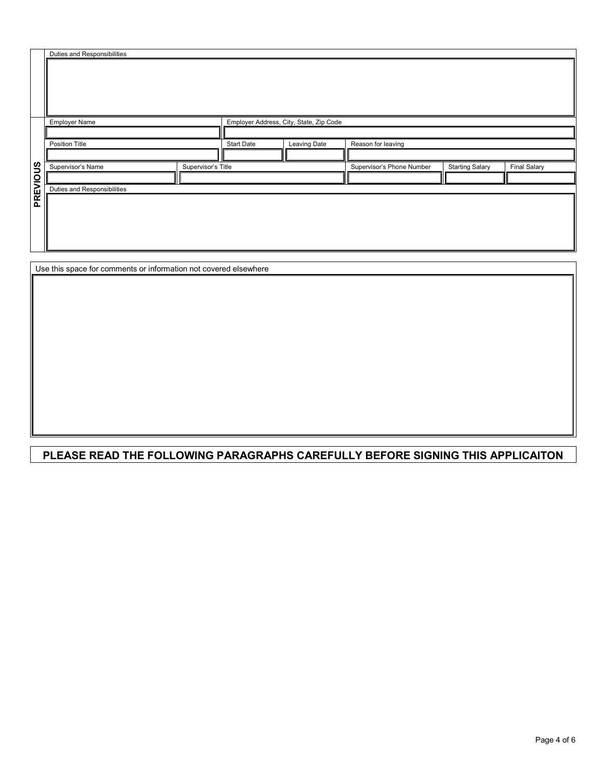|                 | Duties and Responsibilities |                    |  |                                         |                           |                        |                     |  |
|-----------------|-----------------------------|--------------------|--|-----------------------------------------|---------------------------|------------------------|---------------------|--|
|                 |                             |                    |  |                                         |                           |                        |                     |  |
|                 |                             |                    |  |                                         |                           |                        |                     |  |
|                 |                             |                    |  |                                         |                           |                        |                     |  |
|                 |                             |                    |  |                                         |                           |                        |                     |  |
|                 |                             |                    |  |                                         |                           |                        |                     |  |
|                 | Employer Name               |                    |  | Employer Address, City, State, Zip Code |                           |                        |                     |  |
|                 |                             |                    |  |                                         |                           |                        |                     |  |
|                 | Position Title              |                    |  | Leaving Date                            | Reason for leaving        |                        |                     |  |
|                 |                             |                    |  |                                         |                           |                        |                     |  |
|                 | Supervisor's Name           | Supervisor's Title |  |                                         | Supervisor's Phone Number | <b>Starting Salary</b> | <b>Final Salary</b> |  |
| <b>BREVIOUS</b> |                             |                    |  |                                         |                           |                        |                     |  |
|                 | Duties and Responsibilities |                    |  |                                         |                           |                        |                     |  |
|                 |                             |                    |  |                                         |                           |                        |                     |  |
|                 |                             |                    |  |                                         |                           |                        |                     |  |
|                 |                             |                    |  |                                         |                           |                        |                     |  |
|                 |                             |                    |  |                                         |                           |                        |                     |  |
|                 |                             |                    |  |                                         |                           |                        |                     |  |

Use this space for comments or information not covered elsewhere

### **PLEASE READ THE FOLLOWING PARAGRAPHS CAREFULLY BEFORE SIGNING THIS APPLICAITON**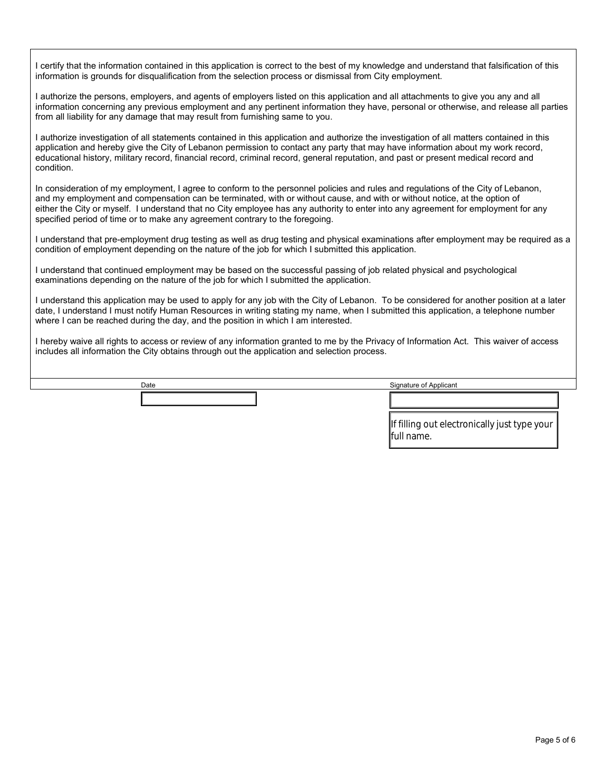I certify that the information contained in this application is correct to the best of my knowledge and understand that falsification of this information is grounds for disqualification from the selection process or dismissal from City employment.

I authorize the persons, employers, and agents of employers listed on this application and all attachments to give you any and all information concerning any previous employment and any pertinent information they have, personal or otherwise, and release all parties from all liability for any damage that may result from furnishing same to you.

I authorize investigation of all statements contained in this application and authorize the investigation of all matters contained in this application and hereby give the City of Lebanon permission to contact any party that may have information about my work record, educational history, military record, financial record, criminal record, general reputation, and past or present medical record and condition.

In consideration of my employment, I agree to conform to the personnel policies and rules and regulations of the City of Lebanon, and my employment and compensation can be terminated, with or without cause, and with or without notice, at the option of either the City or myself. I understand that no City employee has any authority to enter into any agreement for employment for any specified period of time or to make any agreement contrary to the foregoing.

I understand that pre-employment drug testing as well as drug testing and physical examinations after employment may be required as a condition of employment depending on the nature of the job for which I submitted this application.

I understand that continued employment may be based on the successful passing of job related physical and psychological examinations depending on the nature of the job for which I submitted the application.

I understand this application may be used to apply for any job with the City of Lebanon. To be considered for another position at a later date, I understand I must notify Human Resources in writing stating my name, when I submitted this application, a telephone number where I can be reached during the day, and the position in which I am interested.

I hereby waive all rights to access or review of any information granted to me by the Privacy of Information Act. This waiver of access includes all information the City obtains through out the application and selection process.

Date Signature of Applicant

If filling out electronically just type your full name.